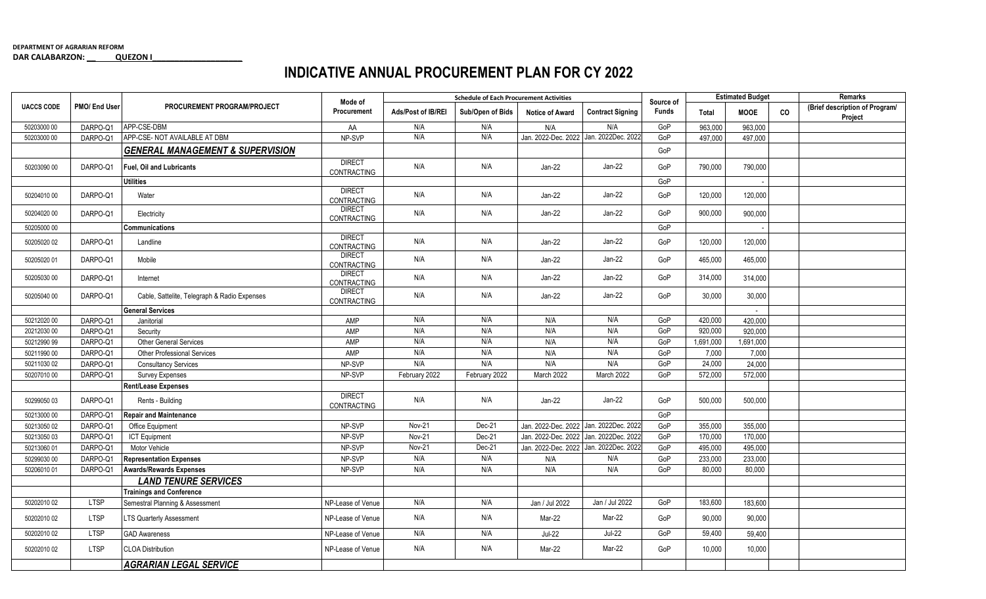## **INDICATIVE ANNUAL PROCUREMENT PLAN FOR CY 2022**

|                   | PMO/ End User | PROCUREMENT PROGRAM/PROJECT                  | Mode of<br>Procurement              | <b>Schedule of Each Procurement Activities</b> |                  |                        |                         | Source of    | <b>Estimated Budget</b> |             |           | Remarks                                   |
|-------------------|---------------|----------------------------------------------|-------------------------------------|------------------------------------------------|------------------|------------------------|-------------------------|--------------|-------------------------|-------------|-----------|-------------------------------------------|
| <b>UACCS CODE</b> |               |                                              |                                     | Ads/Post of IB/REI                             | Sub/Open of Bids | <b>Notice of Award</b> | <b>Contract Signing</b> | <b>Funds</b> | Total                   | <b>MOOE</b> | <b>CO</b> | (Brief description of Program/<br>Project |
| 50203000 00       | DARPO-Q1      | APP-CSE-DBM                                  | AA                                  | N/A                                            | N/A              | N/A                    | N/A                     | GoP          | 963,000                 | 963,000     |           |                                           |
| 50203000 00       | DARPO-Q1      | APP-CSE- NOT AVAILABLE AT DBM                | NP-SVP                              | N/A                                            | N/A              | Jan. 2022-Dec. 2022    | Jan. 2022Dec. 2022      | GoP          | 497,000                 | 497,000     |           |                                           |
|                   |               | <b>GENERAL MANAGEMENT &amp; SUPERVISION</b>  |                                     |                                                |                  |                        |                         | GoP          |                         |             |           |                                           |
| 50203090 00       | DARPO-Q1      | <b>Fuel. Oil and Lubricants</b>              | <b>DIRECT</b><br>CONTRACTING        | N/A                                            | N/A              | $Jan-22$               | $Jan-22$                | GoP          | 790,000                 | 790.000     |           |                                           |
|                   |               | <b>Utilities</b>                             |                                     |                                                |                  |                        |                         | GoP          |                         |             |           |                                           |
| 50204010 00       | DARPO-01      | Water                                        | <b>DIRECT</b><br>CONTRACTING        | N/A                                            | N/A              | $Jan-22$               | $Jan-22$                | GoP          | 120.000                 | 120,000     |           |                                           |
| 50204020 00       | DARPO-Q1      | Electricity                                  | <b>DIRECT</b><br><b>CONTRACTING</b> | N/A                                            | N/A              | Jan-22                 | $Jan-22$                | GoP          | 900,000                 | 900,000     |           |                                           |
| 50205000 00       |               | <b>Communications</b>                        |                                     |                                                |                  |                        |                         | GoP          |                         |             |           |                                           |
| 50205020 02       | DARPO-Q1      | Landline                                     | <b>DIRECT</b><br>CONTRACTING        | N/A                                            | N/A              | Jan-22                 | $Jan-22$                | GoP          | 120,000                 | 120,000     |           |                                           |
| 50205020 01       | DARPO-Q1      | Mobile                                       | <b>DIRECT</b><br>CONTRACTING        | N/A                                            | N/A              | Jan-22                 | $Jan-22$                | GoP          | 465,000                 | 465.000     |           |                                           |
| 50205030 00       | DARPO-Q1      | Internet                                     | <b>DIRECT</b><br>CONTRACTING        | N/A                                            | N/A              | Jan-22                 | $Jan-22$                | GoP          | 314,000                 | 314,000     |           |                                           |
| 50205040 00       | DARPO-Q1      | Cable, Sattelite, Telegraph & Radio Expenses | <b>DIRECT</b><br><b>CONTRACTING</b> | N/A                                            | N/A              | $Jan-22$               | $Jan-22$                | GoP          | 30,000                  | 30.000      |           |                                           |
|                   |               | <b>General Services</b>                      |                                     |                                                |                  |                        |                         |              |                         | $\sim$      |           |                                           |
| 50212020 00       | DARPO-Q1      | Janitorial                                   | AMP                                 | N/A                                            | N/A              | N/A                    | N/A                     | GoP          | 420,000                 | 420,000     |           |                                           |
| 20212030 00       | DARPO-Q1      | Security                                     | AMP                                 | N/A                                            | N/A              | N/A                    | N/A                     | GoP          | 920,000                 | 920,000     |           |                                           |
| 50212990 99       | DARPO-Q1      | Other General Services                       | AMP                                 | N/A                                            | N/A              | N/A                    | N/A                     | GoP          | 1,691,000               | 1,691,000   |           |                                           |
| 50211990 00       | DARPO-Q1      | <b>Other Professional Services</b>           | AMP                                 | N/A                                            | N/A              | N/A                    | N/A                     | GoP          | 7,000                   | 7,000       |           |                                           |
| 50211030 02       | DARPO-Q1      | <b>Consultancy Services</b>                  | NP-SVP                              | N/A                                            | N/A              | N/A                    | N/A                     | GoP          | 24,000                  | 24,000      |           |                                           |
| 50207010 00       | DARPO-Q1      | <b>Survey Expenses</b>                       | NP-SVP                              | February 2022                                  | February 2022    | March 2022             | March 2022              | GoP          | 572,000                 | 572,000     |           |                                           |
|                   |               | Rent/Lease Expenses                          |                                     |                                                |                  |                        |                         |              |                         |             |           |                                           |
| 50299050 03       | DARPO-Q1      | Rents - Building                             | <b>DIRECT</b><br>CONTRACTING        | N/A                                            | N/A              | $Jan-22$               | Jan-22                  | GoP          | 500,000                 | 500,000     |           |                                           |
| 50213000 00       | DARPO-Q1      | <b>Repair and Maintenance</b>                |                                     |                                                |                  |                        |                         | GoP          |                         |             |           |                                           |
| 50213050 02       | DARPO-Q1      | Office Equipment                             | NP-SVP                              | <b>Nov-21</b>                                  | Dec-21           | Jan. 2022-Dec. 2022    | Jan. 2022Dec. 2022      | GoP          | 355.000                 | 355.000     |           |                                           |
| 50213050 03       | DARPO-Q1      | <b>ICT</b> Equipment                         | NP-SVP                              | Nov-21                                         | Dec-21           | Jan. 2022-Dec. 2022    | Jan. 2022Dec. 2022      | GoP          | 170,000                 | 170.000     |           |                                           |
| 50213060 01       | DARPO-Q1      | Motor Vehicle                                | NP-SVP                              | <b>Nov-21</b>                                  | Dec-21           | Jan. 2022-Dec. 2022    | Jan. 2022Dec. 2022      | GoP          | 495,000                 | 495,000     |           |                                           |
| 50299030 00       | DARPO-Q1      | <b>Representation Expenses</b>               | NP-SVP                              | N/A                                            | N/A              | N/A                    | N/A                     | GoP          | 233,000                 | 233,000     |           |                                           |
| 50206010 01       | DARPO-Q1      | <b>Awards/Rewards Expenses</b>               | NP-SVP                              | N/A                                            | N/A              | N/A                    | N/A                     | GoP          | 80,000                  | 80,000      |           |                                           |
|                   |               | <b>LAND TENURE SERVICES</b>                  |                                     |                                                |                  |                        |                         |              |                         |             |           |                                           |
|                   |               | <b>Trainings and Conference</b>              |                                     |                                                |                  |                        |                         |              |                         |             |           |                                           |
| 50202010 02       | <b>LTSP</b>   | Semestral Planning & Assessment              | NP-Lease of Venue                   | N/A                                            | N/A              | Jan / Jul 2022         | Jan / Jul 2022          | GoP          | 183,600                 | 183,600     |           |                                           |
| 50202010 02       | <b>LTSP</b>   | <b>LTS Quarterly Assessment</b>              | NP-Lease of Venue                   | N/A                                            | N/A              | Mar-22                 | Mar-22                  | GoP          | 90,000                  | 90,000      |           |                                           |
| 50202010 02       | <b>LTSP</b>   | <b>GAD Awareness</b>                         | NP-Lease of Venue                   | N/A                                            | N/A              | $Jul-22$               | <b>Jul-22</b>           | GoP          | 59,400                  | 59,400      |           |                                           |
| 50202010 02       | <b>LTSP</b>   | <b>CLOA Distribution</b>                     | NP-Lease of Venue                   | N/A                                            | N/A              | Mar-22                 | Mar-22                  | GoP          | 10,000                  | 10,000      |           |                                           |
|                   |               | <b>AGRARIAN LEGAL SERVICE</b>                |                                     |                                                |                  |                        |                         |              |                         |             |           |                                           |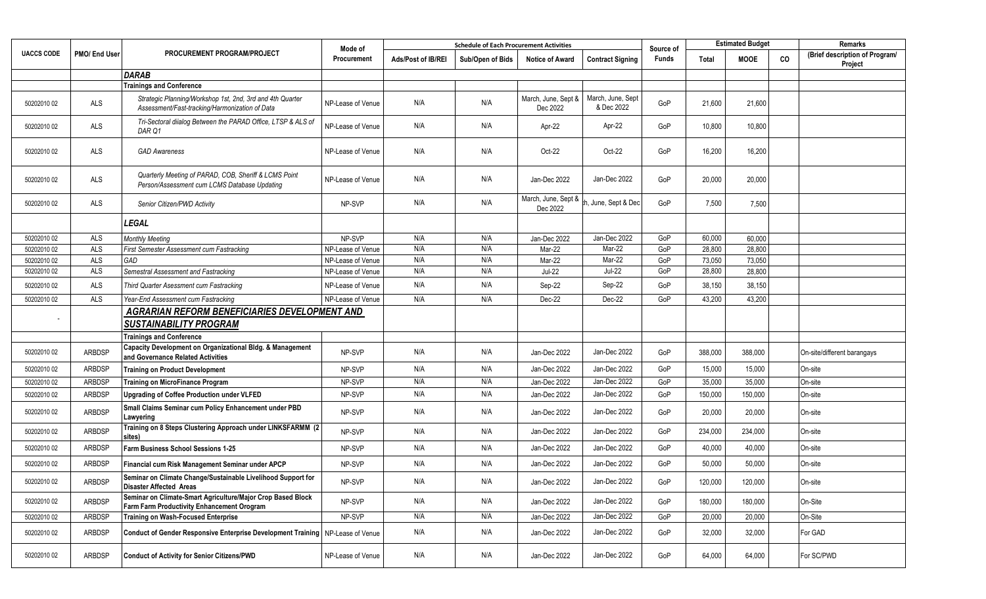| <b>UACCS CODE</b> | PMO/ End User  | PROCUREMENT PROGRAM/PROJECT                                                                                 | Mode of<br>Procurement | <b>Schedule of Each Procurement Activities</b> |                  |                                 |                                 | Source of | <b>Estimated Budget</b> |             |    | Remarks                                   |
|-------------------|----------------|-------------------------------------------------------------------------------------------------------------|------------------------|------------------------------------------------|------------------|---------------------------------|---------------------------------|-----------|-------------------------|-------------|----|-------------------------------------------|
|                   |                |                                                                                                             |                        | Ads/Post of IB/REI                             | Sub/Open of Bids | <b>Notice of Award</b>          | <b>Contract Signing</b>         | Funds     | <b>Total</b>            | <b>MOOE</b> | CO | (Brief description of Program/<br>Project |
|                   |                | <b>DARAB</b>                                                                                                |                        |                                                |                  |                                 |                                 |           |                         |             |    |                                           |
|                   |                | <b>Trainings and Conference</b>                                                                             |                        |                                                |                  |                                 |                                 |           |                         |             |    |                                           |
| 50202010 02       | ALS            | Strategic Planning/Workshop 1st, 2nd, 3rd and 4th Quarter<br>Assessment/Fast-tracking/Harmonization of Data | NP-Lease of Venue      | N/A                                            | N/A              | March, June, Sept &<br>Dec 2022 | March, June, Sept<br>& Dec 2022 | GoP       | 21,600                  | 21,600      |    |                                           |
| 50202010 02       | $\mathsf{ALS}$ | Tri-Sectoral diialog Between the PARAD Office, LTSP & ALS of<br>DAR Q1                                      | NP-Lease of Venue      | N/A                                            | N/A              | Apr-22                          | Apr-22                          | GoP       | 10,800                  | 10,800      |    |                                           |
| 50202010 02       | ALS            | <b>GAD Awareness</b>                                                                                        | NP-Lease of Venue      | N/A                                            | N/A              | $Oct-22$                        | $Oct-22$                        | GoP       | 16,200                  | 16,200      |    |                                           |
| 50202010 02       | ALS            | Quarterly Meeting of PARAD, COB, Sheriff & LCMS Point<br>Person/Assessment cum LCMS Database Updating       | NP-Lease of Venue      | N/A                                            | N/A              | Jan-Dec 2022                    | Jan-Dec 2022                    | GoP       | 20,000                  | 20,000      |    |                                           |
| 50202010 02       | ALS            | Senior Citizen/PWD Activity                                                                                 | NP-SVP                 | N/A                                            | N/A              | March, June, Sept &<br>Dec 2022 | h, June, Sept & Dec             | GoP       | 7,500                   | 7,500       |    |                                           |
|                   |                | <b>LEGAL</b>                                                                                                |                        |                                                |                  |                                 |                                 |           |                         |             |    |                                           |
| 50202010 02       | ALS            | <b>Monthly Meeting</b>                                                                                      | NP-SVP                 | N/A                                            | N/A              | Jan-Dec 2022                    | Jan-Dec 2022                    | GoP       | 60,000                  | 60,000      |    |                                           |
| 50202010 02       | <b>ALS</b>     | First Semester Assessment cum Fastracking                                                                   | NP-Lease of Venue      | N/A                                            | N/A              | Mar-22                          | Mar-22                          | GoP       | 28,800                  | 28,800      |    |                                           |
| 50202010 02       | <b>ALS</b>     | GAD                                                                                                         | NP-Lease of Venue      | N/A                                            | N/A              | Mar-22                          | Mar-22                          | GoP       | 73,050                  | 73,050      |    |                                           |
| 50202010 02       | <b>ALS</b>     | Semestral Assessment and Fastracking                                                                        | NP-Lease of Venue      | N/A                                            | N/A              | <b>Jul-22</b>                   | <b>Jul-22</b>                   | GoP       | 28,800                  | 28,800      |    |                                           |
| 50202010 02       | ALS            | Third Quarter Asessment cum Fastracking                                                                     | NP-Lease of Venue      | N/A                                            | N/A              | Sep-22                          | Sep-22                          | GoP       | 38,150                  | 38,150      |    |                                           |
| 50202010 02       | ALS            | Year-End Assessment cum Fastracking                                                                         | NP-Lease of Venue      | N/A                                            | N/A              | Dec-22                          | Dec-22                          | GoP       | 43,200                  | 43,200      |    |                                           |
|                   |                | <b>AGRARIAN REFORM BENEFICIARIES DEVELOPMENT AND</b>                                                        |                        |                                                |                  |                                 |                                 |           |                         |             |    |                                           |
|                   |                | <b>SUSTAINABILITY PROGRAM</b>                                                                               |                        |                                                |                  |                                 |                                 |           |                         |             |    |                                           |
|                   |                | <b>Trainings and Conference</b>                                                                             |                        |                                                |                  |                                 |                                 |           |                         |             |    |                                           |
| 50202010 02       | <b>ARBDSP</b>  | Capacity Development on Organizational Bldg. & Management<br>and Governance Related Activities              | NP-SVP                 | N/A                                            | N/A              | Jan-Dec 2022                    | Jan-Dec 2022                    | GoP       | 388,000                 | 388,000     |    | On-site/different barangays               |
| 50202010 02       | <b>ARBDSP</b>  | <b>Training on Product Development</b>                                                                      | NP-SVP                 | N/A                                            | N/A              | Jan-Dec 2022                    | Jan-Dec 2022                    | GoP       | 15,000                  | 15,000      |    | On-site                                   |
| 50202010 02       | <b>ARBDSP</b>  | <b>Training on MicroFinance Program</b>                                                                     | NP-SVP                 | N/A                                            | N/A              | Jan-Dec 2022                    | Jan-Dec 2022                    | GoP       | 35,000                  | 35,000      |    | On-site                                   |
| 50202010 02       | <b>ARBDSP</b>  | Upgrading of Coffee Production under VLFED                                                                  | NP-SVP                 | N/A                                            | N/A              | Jan-Dec 2022                    | Jan-Dec 2022                    | GoP       | 150,000                 | 150,000     |    | On-site                                   |
| 50202010 02       | <b>ARBDSP</b>  | Small Claims Seminar cum Policy Enhancement under PBD<br>Lawyering                                          | NP-SVP                 | N/A                                            | N/A              | Jan-Dec 2022                    | Jan-Dec 2022                    | GoP       | 20,000                  | 20,000      |    | On-site                                   |
| 50202010 02       | <b>ARBDSP</b>  | Training on 8 Steps Clustering Approach under LINKSFARMM (2<br>sites)                                       | NP-SVP                 | N/A                                            | N/A              | Jan-Dec 2022                    | Jan-Dec 2022                    | GoP       | 234,000                 | 234,000     |    | On-site                                   |
| 50202010 02       | <b>ARBDSP</b>  | Farm Business School Sessions 1-25                                                                          | NP-SVP                 | N/A                                            | N/A              | Jan-Dec 2022                    | Jan-Dec 2022                    | GoP       | 40,000                  | 40,000      |    | On-site                                   |
| 50202010 02       | <b>ARBDSP</b>  | Financial cum Risk Management Seminar under APCP                                                            | NP-SVP                 | N/A                                            | N/A              | Jan-Dec 2022                    | Jan-Dec 2022                    | GoP       | 50,000                  | 50,000      |    | On-site                                   |
| 50202010 02       | ARBDSP         | Seminar on Climate Change/Sustainable Livelihood Support for<br><b>Disaster Affected Areas</b>              | NP-SVP                 | N/A                                            | N/A              | Jan-Dec 2022                    | Jan-Dec 2022                    | GoP       | 120,000                 | 120,000     |    | On-site                                   |
| 50202010 02       | <b>ARBDSP</b>  | Seminar on Climate-Smart Agriculture/Major Crop Based Block<br>Farm Farm Productivity Enhancement Orogram   | NP-SVP                 | N/A                                            | N/A              | Jan-Dec 2022                    | Jan-Dec 2022                    | GoP       | 180,000                 | 180,000     |    | On-Site                                   |
| 50202010 02       | <b>ARBDSP</b>  | Training on Wash-Focused Enterprise                                                                         | NP-SVP                 | N/A                                            | N/A              | Jan-Dec 2022                    | Jan-Dec 2022                    | GoP       | 20,000                  | 20,000      |    | On-Site                                   |
| 50202010 02       | <b>ARBDSP</b>  | Conduct of Gender Responsive Enterprise Development Training   NP-Lease of Venue                            |                        | N/A                                            | N/A              | Jan-Dec 2022                    | Jan-Dec 2022                    | GoP       | 32,000                  | 32,000      |    | For GAD                                   |
| 50202010 02       | <b>ARBDSP</b>  | Conduct of Activity for Senior Citizens/PWD                                                                 | NP-Lease of Venue      | N/A                                            | N/A              | Jan-Dec 2022                    | Jan-Dec 2022                    | GoP       | 64,000                  | 64,000      |    | For SC/PWD                                |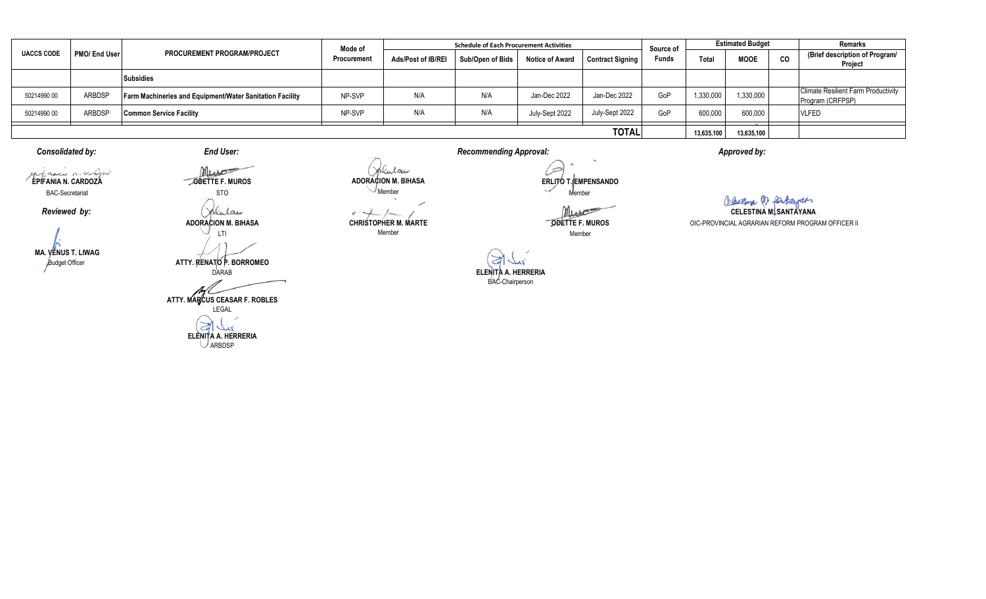| <b>UACCS CODE</b> | PMO/ End User | <b>PROCUREMENT PROGRAM/PROJECT</b>                              | Mode of<br>Procurement | <b>Schedule of Each Procurement Activities</b> |                  |                        |                         |                           | <b>Estimated Budget</b> |             |           | <b>Remarks</b>                                                 |
|-------------------|---------------|-----------------------------------------------------------------|------------------------|------------------------------------------------|------------------|------------------------|-------------------------|---------------------------|-------------------------|-------------|-----------|----------------------------------------------------------------|
|                   |               |                                                                 |                        | Ads/Post of IB/REI                             | Sub/Open of Bids | <b>Notice of Award</b> | <b>Contract Signing</b> | Source of<br><b>Funds</b> | Total                   | <b>MOOE</b> | <b>CO</b> | (Brief description of Program/<br>Project                      |
|                   |               | <b>Subsidies</b>                                                |                        |                                                |                  |                        |                         |                           |                         |             |           |                                                                |
| 50214990 00       | <b>ARBDSF</b> | <b>Farm Machineries and Equipment/Water Sanitation Facility</b> | NP-SVP                 | N/A                                            | N/A              | Jan-Dec 2022           | Jan-Dec 2022            | GoP                       | 1,330,000               | 1,330,000   |           | <b>Climate Resilient Farm Productivity</b><br>Program (CRFPSP) |
| 50214990 00       | <b>ARBDSF</b> | <b>Common Service Facility</b>                                  | NP-SVP                 | N/A                                            | N/A              | July-Sept 2022         | July-Sept 2022          | GoP                       | 600,000                 | 600,000     |           | <b>VLFED</b>                                                   |
| <b>TOTAL</b>      |               |                                                                 |                        |                                                |                  |                        |                         |                           | 13,635,100              | 13,635,100  |           |                                                                |

*Consolidated by: Recommending Approval:*

*End User:*

**EPIFANIA N. CARDOZA** BAC-Secretariat

*Reviewed by:*

**MA. VENUS T. LIWAG** Budget Officer

**ODETTE F. MUROS** STO

Jolulan **ADORACION M. BIHASA** LTI

**ATTY. RENATO P. BORROMEO**

DARAB **ATTY. MARCUS CEASAR F. ROBLES** LEGAL ð كعك

**ELENITA A. HERRERIA** ARBDSP

Jolular **ADORACION M. BIHASA**  $\mathcal{N}_{\text{Member}}$ 

**CHRISTOPHER M. MARTE** Member

 $\frac{1}{2} \sum_{i=1}^{n} \frac{1}{2} \sum_{j=1}^{n} \frac{1}{2} \sum_{j=1}^{n} \frac{1}{2} \sum_{j=1}^{n} \frac{1}{2} \sum_{j=1}^{n} \frac{1}{2} \sum_{j=1}^{n} \frac{1}{2} \sum_{j=1}^{n} \frac{1}{2} \sum_{j=1}^{n} \frac{1}{2} \sum_{j=1}^{n} \frac{1}{2} \sum_{j=1}^{n} \frac{1}{2} \sum_{j=1}^{n} \frac{1}{2} \sum_{j=1}^{n} \frac{1}{2} \sum_{j=1}^{n$ 

÷.

 $\infty$ **ERLITO T. EMPENSANDO** Member

Must

**ODETTE F. MUROS** Member

 $\gtrsim$ **ELENITA A. HERRERIA** BAC-Chairperson

*Approved by:*

OIC-PROVINCIAL AGRARIAN REFORM PROGRAM OFFICER II **CELESTINA M. SANTAYANA**